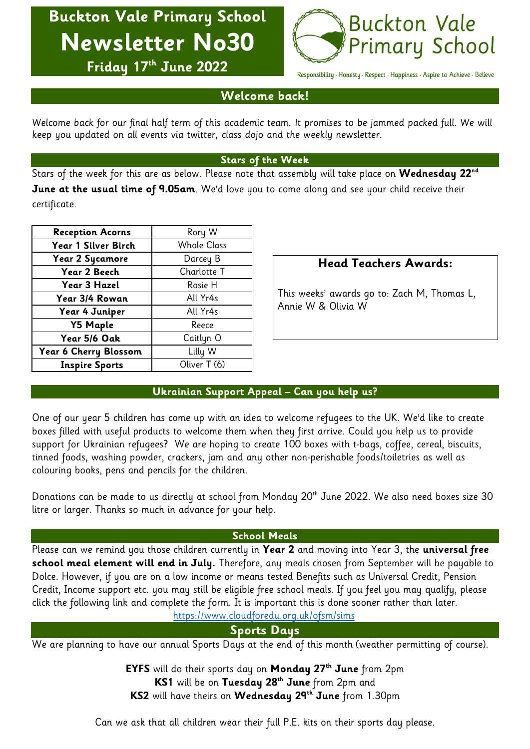**Buckton Vale Primary School Newsletter No30**



**Friday 17 th June 2022**

Responsibility · Honesty · Respect · Happiness · Aspire to Achieve · Believe

## **Welcome back!**

Welcome back for our final half term of this academic team. It promises to be jammed packed full. We will keep you updated on all events via twitter, class dojo and the weekly newsletter.

## **Stars of the Week**

Stars of the week for this are as below. Please note that assembly will take place on **Wednesday 22 nd June at the usual time of 9.05am**. We'd love you to come along and see your child receive their certificate.

| <b>Reception Acorns</b> | Rory W             |  |
|-------------------------|--------------------|--|
| Year 1 Silver Birch     | <b>Whole Class</b> |  |
| <b>Year 2 Sycamore</b>  | Darcey B           |  |
| Year 2 Beech            | Charlotte T        |  |
| Year 3 Hazel            | Rosie H            |  |
| Year 3/4 Rowan          | All Yr4s           |  |
| Year 4 Juniper          | All Yr4s           |  |
| <b>Y5 Maple</b>         | Reece              |  |
| Year 5/6 Oak            | Caitlyn O          |  |
| Year 6 Cherry Blossom   | Lilly W            |  |
| <b>Inspire Sports</b>   | Oliver T (6)       |  |

# **Head Teachers Awards:**

This weeks' awards go to: Zach M, Thomas L, Annie W & Olivia W

# **Ukrainian Support Appeal – Can you help us?**

One of our year 5 children has come up with an idea to welcome refugees to the UK. We'd like to create boxes filled with useful products to welcome them when they first arrive. Could you help us to provide support for Ukrainian refugees? We are hoping to create 100 boxes with t-bags, coffee, cereal, biscuits, tinned foods, washing powder, crackers, jam and any other non-perishable foods/toiletries as well as colouring books, pens and pencils for the children.

Donations can be made to us directly at school from Monday 20<sup>th</sup> June 2022. We also need boxes size 30 litre or larger. Thanks so much in advance for your help.

## **School Meals**

Please can we remind you those children currently in **Year 2** and moving into Year 3, the **universal free school meal element will end in July.** Therefore, any meals chosen from September will be payable to Dolce. However, if you are on a low income or means tested Benefits such as Universal Credit, Pension Credit, Income support etc. you may still be eligible free school meals. If you feel you may qualify, please click the following link and complete the form. It is important this is done sooner rather than later.

<https://www.cloudforedu.org.uk/ofsm/sims>

# **Sports Days**

We are planning to have our annual Sports Days at the end of this month (weather permitting of course).

**EYFS** will do their sports day on **Monday 27th June** from 2pm **KS1** will be on **Tuesday 28th June** from 2pm and **KS2** will have theirs on **Wednesday 29th June** from 1.30pm

Can we ask that all children wear their full P.E. kits on their sports day please.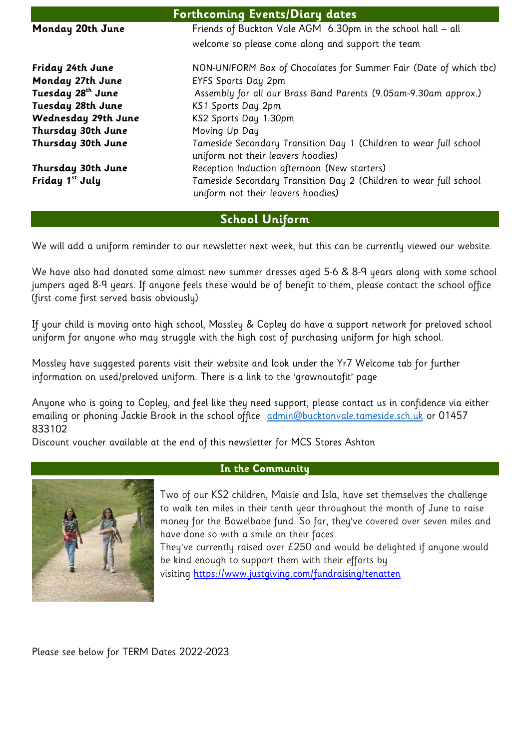| <b>Forthcoming Events/Diary dates</b> |                                                                                                         |  |
|---------------------------------------|---------------------------------------------------------------------------------------------------------|--|
| Monday 20th June                      | Friends of Buckton Vale AGM 6.30pm in the school hall - all                                             |  |
|                                       | welcome so please come along and support the team                                                       |  |
| Friday 24th June                      | NON-UNIFORM Box of Chocolates for Summer Fair (Date of which tbc)                                       |  |
| Monday 27th June                      | <b>EYFS Sports Day 2pm</b>                                                                              |  |
| Tuesday 28 <sup>th</sup> June         | Assembly for all our Brass Band Parents (9.05am-9.30am approx.)                                         |  |
| Tuesday 28th June                     | KS1 Sports Day 2pm                                                                                      |  |
| Wednesday 29th June                   | KS2 Sports Day 1:30pm                                                                                   |  |
| Thursday 30th June                    | Moving Up Day                                                                                           |  |
| Thursday 30th June                    | Tameside Secondary Transition Day 1 (Children to wear full school<br>uniform not their leavers hoodies) |  |
| Thursday 30th June                    | Reception Induction afternoon (New starters)                                                            |  |
| Friday 1 <sup>st</sup> July           | Tameside Secondary Transition Day 2 (Children to wear full school<br>uniform not their leavers hoodies) |  |

# **School Uniform**

We will add a uniform reminder to our newsletter next week, but this can be currently viewed our website.

We have also had donated some almost new summer dresses aged 5-6 & 8-9 years along with some school jumpers aged 8-9 years. If anyone feels these would be of benefit to them, please contact the school office (first come first served basis obviously)

If your child is moving onto high school, Mossley & Copley do have a support network for preloved school uniform for anyone who may struggle with the high cost of purchasing uniform for high school.

Mossley have suggested parents visit their website and look under the Yr7 Welcome tab for further information on used/preloved uniform. There is a link to the 'grownoutofit' page

Anyone who is going to Copley, and feel like they need support, please contact us in confidence via either emailing or phoning Jackie Brook in the school office [admin@bucktonvale.tameside.sch.uk](mailto:admin@bucktonvale.tameside.sch.uk) or 01457 833102

Discount voucher available at the end of this newsletter for MCS Stores Ashton



### **In the Community**

Two of our KS2 children, Maisie and Isla, have set themselves the challenge to walk ten miles in their tenth year throughout the month of June to raise money for the Bowelbabe fund. So far, they've covered over seven miles and have done so with a smile on their faces.

They've currently raised over £250 and would be delighted if anyone would be kind enough to support them with their efforts by

visiting <https://www.justgiving.com/fundraising/tenatten>

Please see below for TERM Dates 2022-2023